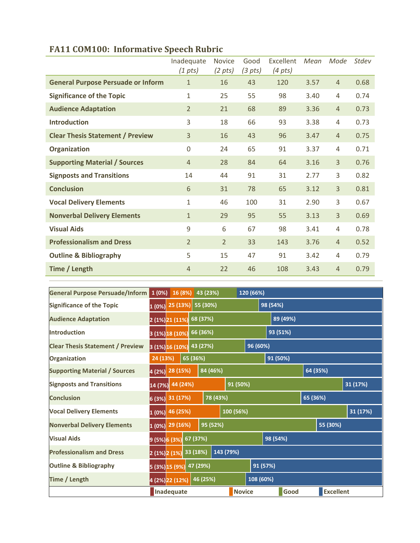|                                           | Inadequate<br>$(1 \; pts)$ | <b>Novice</b><br>$(2 \, pts)$ | Good<br>(3 <i>pts</i> ) | Excellent<br>$(4 \, pts)$ | Mean | Mode           | Stdev |
|-------------------------------------------|----------------------------|-------------------------------|-------------------------|---------------------------|------|----------------|-------|
| <b>General Purpose Persuade or Inform</b> | $\mathbf{1}$               | 16                            | 43                      | 120                       | 3.57 | $\overline{4}$ | 0.68  |
| <b>Significance of the Topic</b>          | $\mathbf{1}$               | 25                            | 55                      | 98                        | 3.40 | 4              | 0.74  |
| <b>Audience Adaptation</b>                | $\overline{2}$             | 21                            | 68                      | 89                        | 3.36 | $\overline{4}$ | 0.73  |
| <b>Introduction</b>                       | 3                          | 18                            | 66                      | 93                        | 3.38 | 4              | 0.73  |
| <b>Clear Thesis Statement / Preview</b>   | $\overline{3}$             | 16                            | 43                      | 96                        | 3.47 | $\overline{4}$ | 0.75  |
| Organization                              | $\overline{0}$             | 24                            | 65                      | 91                        | 3.37 | 4              | 0.71  |
| <b>Supporting Material / Sources</b>      | $\overline{4}$             | 28                            | 84                      | 64                        | 3.16 | 3              | 0.76  |
| <b>Signposts and Transitions</b>          | 14                         | 44                            | 91                      | 31                        | 2.77 | 3              | 0.82  |
| <b>Conclusion</b>                         | 6                          | 31                            | 78                      | 65                        | 3.12 | 3              | 0.81  |
| <b>Vocal Delivery Elements</b>            | $\mathbf{1}$               | 46                            | 100                     | 31                        | 2.90 | 3              | 0.67  |
| <b>Nonverbal Delivery Elements</b>        | $\mathbf{1}$               | 29                            | 95                      | 55                        | 3.13 | 3              | 0.69  |
| <b>Visual Aids</b>                        | 9                          | 6                             | 67                      | 98                        | 3.41 | 4              | 0.78  |
| <b>Professionalism and Dress</b>          | $\overline{2}$             | $\overline{2}$                | 33                      | 143                       | 3.76 | $\overline{4}$ | 0.52  |
| <b>Outline &amp; Bibliography</b>         | 5                          | 15                            | 47                      | 91                        | 3.42 | 4              | 0.79  |
| Time / Length                             | $\overline{4}$             | 22                            | 46                      | 108                       | 3.43 | $\overline{4}$ | 0.79  |

## **FA11 COM100: Informative Speech Rubric**

| General Purpose Persuade/Inform         | 1(0%)                           | 16 (8%)                      |          | 43 (23%)  |          | 120 (66%)     |          |          |          |                  |  |
|-----------------------------------------|---------------------------------|------------------------------|----------|-----------|----------|---------------|----------|----------|----------|------------------|--|
| <b>Significance of the Topic</b>        | $1(0%)$ 25 (13%) 55 (30%)       |                              |          |           | 98 (54%) |               |          |          |          |                  |  |
| <b>Audience Adaptation</b>              | 68 (37%)<br>2 (1%) 21 (11%)     |                              |          |           |          |               | 89 (49%) |          |          |                  |  |
| <b>Introduction</b>                     | 66 (36%)<br>3 (1%) 18 (10%)     |                              |          |           |          |               | 93 (51%) |          |          |                  |  |
| <b>Clear Thesis Statement / Preview</b> | 43 (27%)<br>3 (1%) 16 (10%)     |                              |          |           |          | 96 (60%)      |          |          |          |                  |  |
| Organization                            | 24 (13%)<br>65 (36%)            |                              |          |           |          |               | 91 (50%) |          |          |                  |  |
| <b>Supporting Material / Sources</b>    | 28 (15%)<br>84 (46%)<br>4(2%)   |                              |          |           |          |               |          | 64 (35%) |          |                  |  |
| <b>Signposts and Transitions</b>        | 44 (24%)<br>91 (50%)<br>14 (7%) |                              |          |           |          |               | 31 (17%) |          |          |                  |  |
| <b>Conclusion</b>                       | 31 (17%)<br>78 (43%)<br>6(3%)   |                              |          |           |          |               | 65 (36%) |          |          |                  |  |
| <b>Vocal Delivery Elements</b>          | 100 (56%)<br>46 (25%)<br>1(0%)  |                              |          |           |          |               |          |          |          | 31 (17%)         |  |
| <b>Nonverbal Delivery Elements</b>      |                                 | 95 (52%)<br>$1(0%)$ 29 (16%) |          |           |          |               |          |          | 55 (30%) |                  |  |
| <b>Visual Aids</b>                      | 9 (5%) 6 (3%)                   |                              | 67 (37%) |           | 98 (54%) |               |          |          |          |                  |  |
| <b>Professionalism and Dress</b>        | $2(1%)$ $2(1%)$                 |                              | 33 (18%) | 143 (79%) |          |               |          |          |          |                  |  |
| <b>Outline &amp; Bibliography</b>       | 5 (3%) 15 (9%)                  |                              | 47 (29%) | 91 (57%)  |          |               |          |          |          |                  |  |
| Time / Length                           | 4 (2%) 22 (12%)                 |                              |          | 46 (25%)  |          | 108 (60%)     |          |          |          |                  |  |
|                                         | Inadequate                      |                              |          |           |          | <b>Novice</b> |          | Good     |          | <b>Excellent</b> |  |